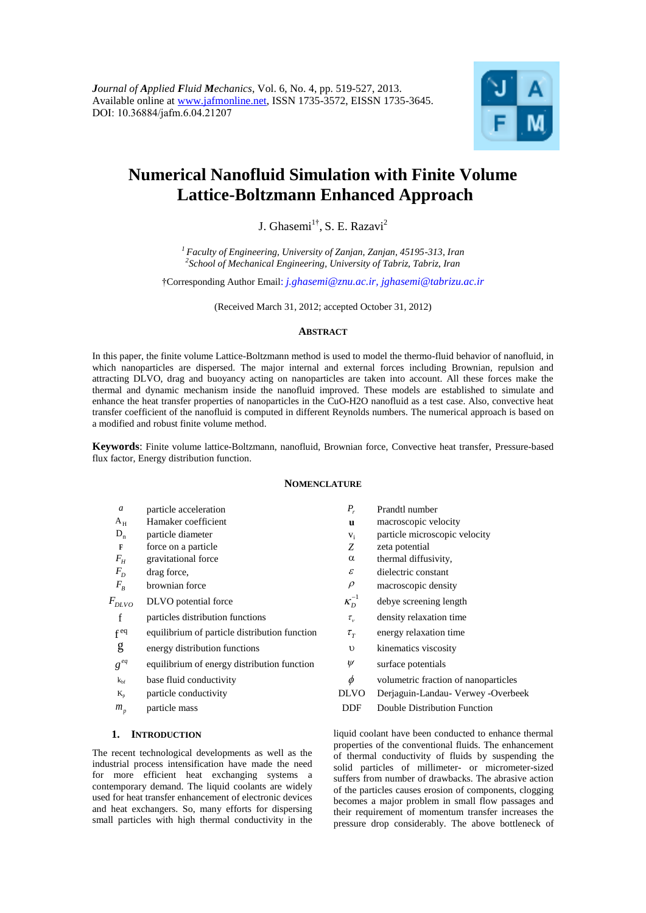

# **Numerical Nanofluid Simulation with Finite Volume Lattice-Boltzmann Enhanced Approach**

J. Ghasemi<sup>1†</sup>, S. E. Razavi<sup>2</sup>

*<sup>1</sup> Faculty of Engineering, University of Zanjan, Zanjan, 45195-313, Iran 2 School of Mechanical Engineering, University of Tabriz, Tabriz, Iran*

†Corresponding Author Email: *[j.ghasemi@znu.ac.ir,](mailto:j.ghasemi@znu.ac.ir) jghasemi@tabrizu.ac.ir*

(Received March 31, 2012; accepted October 31, 2012)

# **ABSTRACT**

In this paper, the finite volume Lattice-Boltzmann method is used to model the thermo-fluid behavior of nanofluid, in which nanoparticles are dispersed. The major internal and external forces including Brownian, repulsion and attracting DLVO, drag and buoyancy acting on nanoparticles are taken into account. All these forces make the thermal and dynamic mechanism inside the nanofluid improved. These models are established to simulate and enhance the heat transfer properties of nanoparticles in the CuO-H2O nanofluid as a test case. Also, convective heat transfer coefficient of the nanofluid is computed in different Reynolds numbers. The numerical approach is based on a modified and robust finite volume method.

**Keywords**: Finite volume lattice-Boltzmann, nanofluid, Brownian force, Convective heat transfer, Pressure-based flux factor, Energy distribution function.

# **NOMENCLATURE**

| $\boldsymbol{a}$ | particle acceleration                         | $P_{r}$                    | Prandtl number                       |
|------------------|-----------------------------------------------|----------------------------|--------------------------------------|
| $A_H$            | Hamaker coefficient                           | u                          | macroscopic velocity                 |
| $D_n$            | particle diameter                             | $V_i$                      | particle microscopic velocity        |
| F                | force on a particle                           | Z                          | zeta potential                       |
| $F_H$            | gravitational force                           | $\alpha$                   | thermal diffusivity,                 |
| $F_D$            | drag force,                                   | $\boldsymbol{\mathcal{E}}$ | dielectric constant                  |
| $F_B$            | brownian force                                | $\rho$                     | macroscopic density                  |
| $F_{DLVO}$       | DLVO potential force                          | $\kappa_D^{-1}$            | debye screening length               |
| f                | particles distribution functions              | $\tau_{\nu}$               | density relaxation time              |
| $f^{eq}$         | equilibrium of particle distribution function | $\tau_{\tau}$              | energy relaxation time               |
| g                | energy distribution functions                 | $\upsilon$                 | kinematics viscosity                 |
| $g^{eq}$         | equilibrium of energy distribution function   | $\psi$                     | surface potentials                   |
| $k_{\rm bf}$     | base fluid conductivity                       | $\phi$                     | volumetric fraction of nanoparticles |
| $K_{p}$          | particle conductivity                         | <b>DLVO</b>                | Derjaguin-Landau- Verwey -Overbeek   |
| $m_{p}$          | particle mass                                 | DDF                        | Double Distribution Function         |
|                  |                                               |                            |                                      |

# **1. INTRODUCTION**

The recent technological developments as well as the industrial process intensification have made the need for more efficient heat exchanging systems a contemporary demand. The liquid coolants are widely used for heat transfer enhancement of electronic devices and heat exchangers. So, many efforts for dispersing small particles with high thermal conductivity in the liquid coolant have been conducted to enhance thermal properties of the conventional fluids. The enhancement of thermal conductivity of fluids by suspending the solid particles of millimeter- or micrometer-sized suffers from number of drawbacks. The abrasive action of the particles causes erosion of components, clogging becomes a major problem in small flow passages and their requirement of momentum transfer increases the pressure drop considerably. The above bottleneck of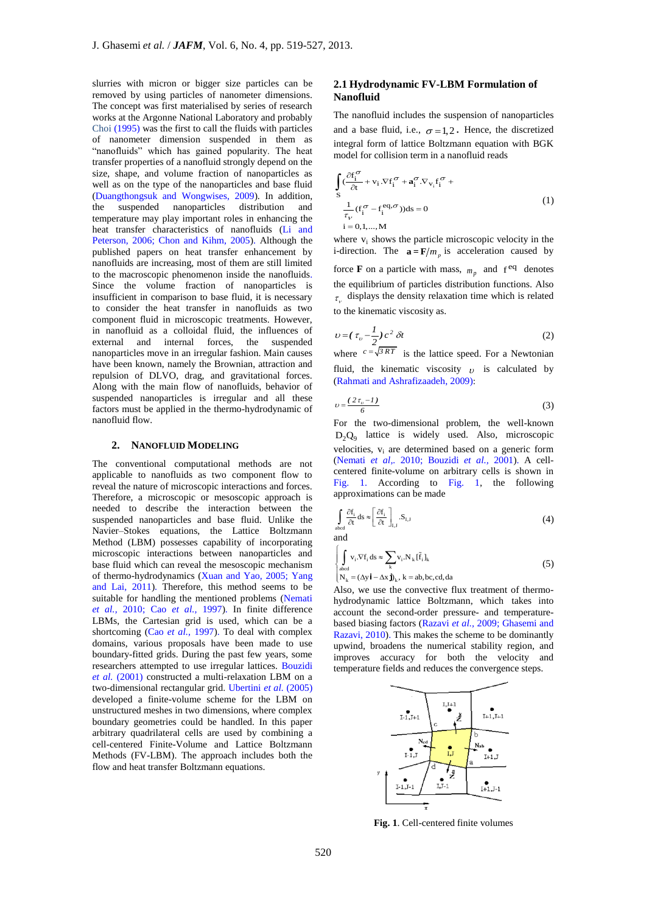slurries with micron or bigger size particles can be removed by using particles of nanometer dimensions. The concept was first materialised by series of research works at the Argonne National Laboratory and probably Choi (1995) was the first to call the fluids with particles of nanometer dimension suspended in them as "nanofluids" which has gained popularity. The heat transfer properties of a nanofluid strongly depend on the size, shape, and volume fraction of nanoparticles as well as on the type of the nanoparticles and base fluid (Duangthongsuk and Wongwises, 2009). In addition, the suspended nanoparticles distribution and temperature may play important roles in enhancing the heat transfer characteristics of nanofluids (Li and Peterson, 2006; Chon and Kihm, 2005). Although the published papers on heat transfer enhancement by nanofluids are increasing, most of them are still limited to the macroscopic phenomenon inside the nanofluids. Since the volume fraction of nanoparticles is insufficient in comparison to base fluid, it is necessary to consider the heat transfer in nanofluids as two component fluid in microscopic treatments. However, in nanofluid as a colloidal fluid, the influences of external and internal forces, the suspended nanoparticles move in an irregular fashion. Main causes have been known, namely the Brownian, attraction and repulsion of DLVO, drag, and gravitational forces. Along with the main flow of nanofluids, behavior of suspended nanoparticles is irregular and all these factors must be applied in the thermo-hydrodynamic of nanofluid flow.

## **2. NANOFLUID MODELING**

The conventional computational methods are not applicable to nanofluids as two component flow to reveal the nature of microscopic interactions and forces. Therefore, a microscopic or mesoscopic approach is needed to describe the interaction between the suspended nanoparticles and base fluid. Unlike the Navier–Stokes equations, the Lattice Boltzmann Method (LBM) possesses capability of incorporating microscopic interactions between nanoparticles and base fluid which can reveal the mesoscopic mechanism of thermo-hydrodynamics (Xuan and Yao, 2005; Yang and Lai, 2011). Therefore, this method seems to be suitable for handling the mentioned problems (Nemati *et al.,* 2010; Cao *et al.,* 1997). In finite difference LBMs, the Cartesian grid is used, which can be a shortcoming (Cao *et al.,* 1997). To deal with complex domains, various proposals have been made to use boundary-fitted grids. During the past few years, some researchers attempted to use irregular lattices. Bouzidi *et al.* (2001) constructed a multi-relaxation LBM on a two-dimensional rectangular grid. Ubertini *et al.* (2005) developed a finite-volume scheme for the LBM on unstructured meshes in two dimensions, where complex boundary geometries could be handled. In this paper arbitrary quadrilateral cells are used by combining a cell-centered Finite-Volume and Lattice Boltzmann Methods (FV-LBM). The approach includes both the flow and heat transfer Boltzmann equations.

# **2.1 Hydrodynamic FV-LBM Formulation of Nanofluid**

The nanofluid includes the suspension of nanoparticles and a base fluid, i.e.,  $\sigma = 1,2$ . Hence, the discretized integral form of lattice Boltzmann equation with BGK model for collision term in a nanofluid reads

$$
\int_{S} \frac{\partial f_{i}^{\sigma}}{\partial t} + v_{i} \cdot \nabla f_{i}^{\sigma} + \mathbf{a}_{i}^{\sigma} \cdot \nabla_{v_{i}} f_{i}^{\sigma} + \frac{1}{\tau_{V}} (f_{i}^{\sigma} - f_{i}^{eq, \sigma})) ds = 0
$$
\n
$$
i = 0, 1, ..., M
$$
\n(1)

where  $v_i$  shows the particle microscopic velocity in the i-direction. The  $\mathbf{a} = \mathbf{F}/m_p$  is acceleration caused by force **F** on a particle with mass,  $m_p$  and  $f^{eq}$  denotes the equilibrium of particles distribution functions. Also  $\tau_{v}$  displays the density relaxation time which is related to the kinematic viscosity as.

$$
v = \left(\tau_v - \frac{1}{2}\right)c^2 \,\delta t \tag{2}
$$

where  $c = \sqrt{3RT}$  is the lattice speed. For a Newtonian fluid, the kinematic viscosity  $\upsilon$  is calculated by (Rahmati and Ashrafizaadeh, 2009):

$$
v = \frac{(2\tau_v - 1)}{6} \tag{3}
$$

For the two-dimensional problem, the well-known  $D_2Q_9$  lattice is widely used. Also, microscopic velocities,  $v_i$  are determined based on a generic form (Nemati *et al,.* 2010; Bouzidi *et al.,* 2001). A cellcentered finite-volume on arbitrary cells is shown in Fig. 1. According to Fig. 1, the following approximations can be made

$$
\int_{\text{abcd}} \frac{\partial f_i}{\partial t} ds \approx \left[ \frac{\partial f_i}{\partial t} \right]_{i,j} . S_{i,j} \tag{4}
$$

$$
\begin{cases}\n\int_{abcd} v_i . \nabla f_i ds \approx \sum_{k} v_i . N_k [\tilde{f}_i]_k \\
N_k = (\Delta y \mathbf{i} - \Delta x \mathbf{j})_k, k = ab, bc, cd, da\n\end{cases}
$$
\n(5)

Also, we use the convective flux treatment of thermohydrodynamic lattice Boltzmann, which takes into account the second-order pressure- and temperaturebased biasing factors (Razavi *et al.,* 2009; Ghasemi and Razavi, 2010). This makes the scheme to be dominantly upwind, broadens the numerical stability region, and improves accuracy for both the velocity and temperature fields and reduces the convergence steps.



**Fig. 1**. Cell-centered finite volumes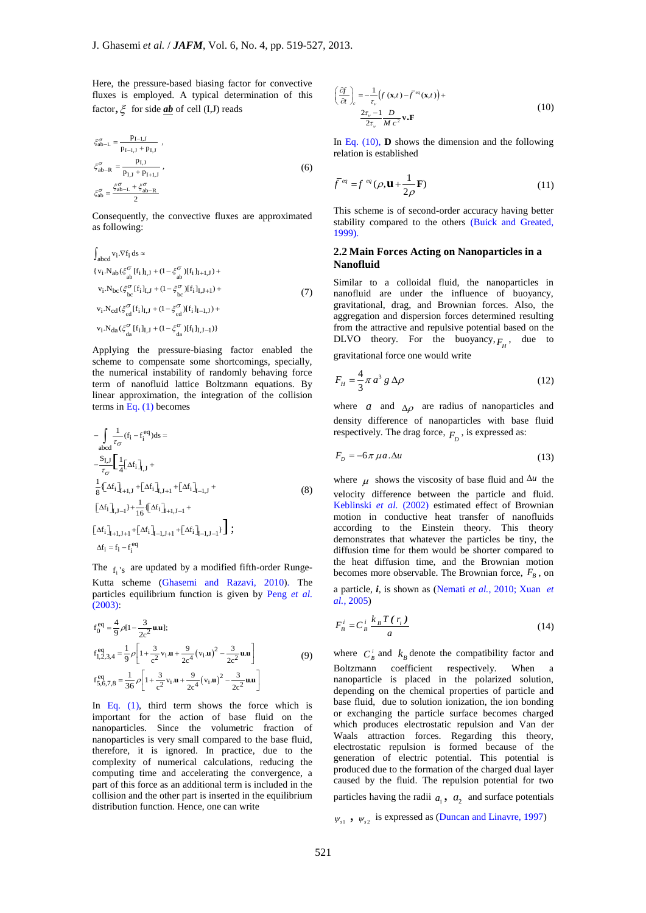Here, the pressure-based biasing factor for convective fluxes is employed. A typical determination of this factor,  $\xi$  for side <u>ab</u> of cell (I,J) reads

$$
\xi_{ab-L}^{\sigma} = \frac{p_{I-J}}{p_{I-J,J} + p_{I,J}} ,
$$
  
\n
$$
\xi_{ab-R}^{\sigma} = \frac{p_{I,J}}{p_{I,J} + p_{I+1,J}} ,
$$
  
\n
$$
\xi_{ab}^{\sigma} = \frac{\xi_{ab-L}^{\sigma} + \xi_{ab-R}^{\sigma}}{2}
$$
 (6)

Consequently, the convective fluxes are approximated as following:

$$
\int_{abcd} v_i . \nabla f_i ds \approx
$$
\n
$$
\{v_i . N_{ab} (\xi_{ab}^\sigma [f_i]_{I,J} + (1 - \xi_{ab}^\sigma) [f_i]_{I+1,J}) +
$$
\n
$$
v_i . N_{bc} (\xi_{bc}^\sigma [f_i]_{I,J} + (1 - \xi_{bc}^\sigma) [f_i]_{I,J+1}) +
$$
\n
$$
v_i . N_{cd} (\xi_{cd}^\sigma [f_i]_{I,J} + (1 - \xi_{cd}^\sigma) [f_i]_{I-1,J}) +
$$
\n
$$
v_i . N_{da} (\xi_{da}^\sigma [f_i]_{I,J} + (1 - \xi_{da}^\sigma) [f_i]_{I,J-1})\}
$$
\n(7)

Applying the pressure-biasing factor enabled the scheme to compensate some shortcomings, specially, the numerical instability of randomly behaving force term of nanofluid lattice Boltzmann equations. By linear approximation, the integration of the collision terms in Eq.  $(1)$  becomes

$$
-\int_{abcd} \frac{1}{\tau_{\sigma}} (f_{i} - f_{i}^{eq}) ds =
$$
  
\n
$$
-\frac{S_{I,J}}{\tau_{\sigma}} \left[ \frac{1}{4} [\Delta f_{i}]_{I,J} + \frac{1}{8} (\Delta f_{i}]_{I,I,J} + [\Delta f_{i}]_{I,J+1} + [\Delta f_{i}]_{I-1,J} + \frac{1}{8} (\Delta f_{i}]_{I,J-1} + [\Delta f_{i}]_{I,J-1} + [\Delta f_{i}]_{I+1,J+1} + [\Delta f_{i}]_{I-1,J+1} + [\Delta f_{i}]_{I-1,J-1} \right) ;
$$
  
\n(8)  
\n
$$
\Delta f_{i} = f_{i} - f_{i}^{eq}
$$

The  $f_i$ 's are updated by a modified fifth-order Runge-Kutta scheme (Ghasemi and Razavi, 2010). The particles equilibrium function is given by Peng *et al.* (2003):

$$
f_0^{eq} = \frac{4}{9} \rho [1 - \frac{3}{2c^2} \mathbf{u} \mathbf{u}];
$$
  
\n
$$
f_{1,2,3,4}^{eq} = \frac{1}{9} \rho \left[ 1 + \frac{3}{c^2} \mathbf{v}_1 \mathbf{u} + \frac{9}{2c^4} (\mathbf{v}_1 \mathbf{u})^2 - \frac{3}{2c^2} \mathbf{u} \mathbf{u} \right]
$$
\n
$$
f_{5,6,7,8}^{eq} = \frac{1}{36} \rho \left[ 1 + \frac{3}{c^2} \mathbf{v}_1 \mathbf{u} + \frac{9}{2c^4} (\mathbf{v}_1 \mathbf{u})^2 - \frac{3}{2c^2} \mathbf{u} \mathbf{u} \right]
$$
\n(9)

In Eq.  $(1)$ , third term shows the force which is important for the action of base fluid on the nanoparticles. Since the volumetric fraction of nanoparticles is very small compared to the base fluid, therefore, it is ignored. In practice, due to the complexity of numerical calculations, reducing the computing time and accelerating the convergence, a part of this force as an additional term is included in the collision and the other part is inserted in the equilibrium distribution function. Hence, one can write

$$
\left(\frac{\partial f}{\partial t}\right)_c = -\frac{1}{\tau_v} \left( f\left(\mathbf{x}, t\right) - \bar{f}^{eq}\left(\mathbf{x}, t\right) \right) +
$$
\n
$$
\frac{2\tau_v - 1}{2\tau_v} \frac{D}{M c^2} \mathbf{v} \cdot \mathbf{F}
$$
\n(10)

In Eq. (10), **D** shows the dimension and the following relation is established

$$
\bar{f}^{eq} = f^{eq}(\rho, \mathbf{u} + \frac{1}{2\rho} \mathbf{F})
$$
\n(11)

This scheme is of second-order accuracy having better stability compared to the others (Buick and Greated, 1999).

## **2.2 Main Forces Acting on Nanoparticles in a Nanofluid**

Similar to a colloidal fluid, the nanoparticles in nanofluid are under the influence of buoyancy, gravitational, drag, and Brownian forces. Also, the aggregation and dispersion forces determined resulting from the attractive and repulsive potential based on the DLVO theory. For the buoyancy,  $F_H$ , due to gravitational force one would write

$$
F_H = \frac{4}{3}\pi a^3 g \Delta \rho \tag{12}
$$

where  $a$  and  $\Delta \rho$  are radius of nanoparticles and density difference of nanoparticles with base fluid respectively. The drag force,  $F_D$ , is expressed as:

$$
F_D = -6\pi \,\mu a \,\Delta u \tag{13}
$$

where  $\mu$  shows the viscosity of base fluid and  $\Delta u$  the velocity difference between the particle and fluid. Keblinski *et al.* (2002) estimated effect of Brownian motion in conductive heat transfer of nanofluids according to the Einstein theory. This theory demonstrates that whatever the particles be tiny, the diffusion time for them would be shorter compared to the heat diffusion time, and the Brownian motion becomes more observable. The Brownian force,  $F_B$ , on

a particle, *i*, is shown as (Nemati *et al.*, 2010; Xuan *et al.,* 2005)

$$
F_B^i = C_B^i \frac{k_B T(r_i)}{a} \tag{14}
$$

where  $C_B^i$  and  $k_B$  denote the compatibility factor and Boltzmann coefficient respectively. When nanoparticle is placed in the polarized solution, depending on the chemical properties of particle and base fluid, due to solution ionization, the ion bonding or exchanging the particle surface becomes charged which produces electrostatic repulsion and Van der Waals attraction forces. Regarding this theory, electrostatic repulsion is formed because of the generation of electric potential. This potential is produced due to the formation of the charged dual layer caused by the fluid. The repulsion potential for two particles having the radii  $a_1$ ,  $a_2$  and surface potentials

 $\psi_{s1}$ ,  $\psi_{s2}$  is expressed as (Duncan and Linavre, 1997)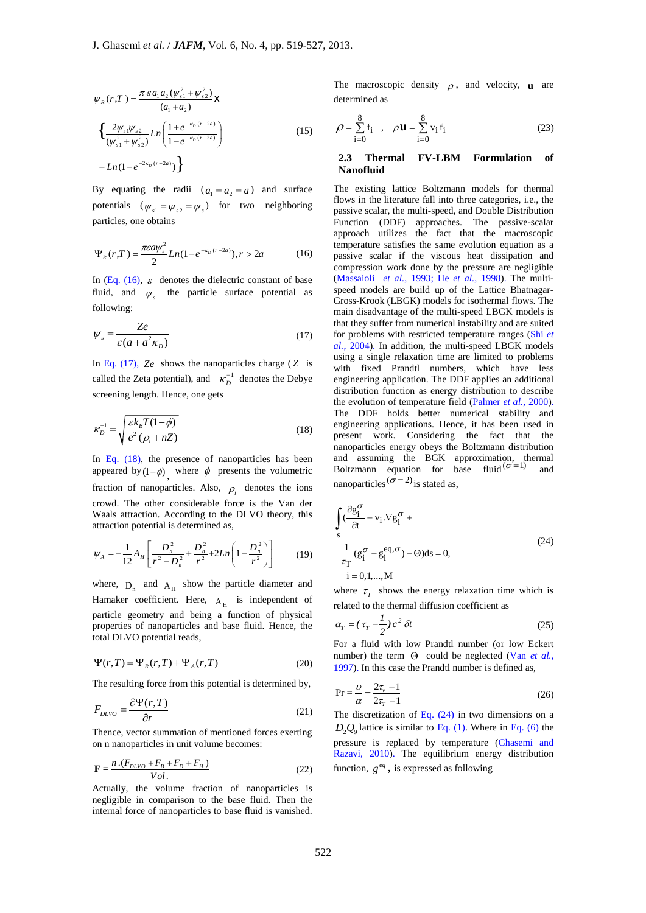$$
\psi_{R}(r,T) = \frac{\pi \varepsilon a_{1} a_{2} (\psi_{s1}^{2} + \psi_{s2}^{2})}{(a_{1} + a_{2})} \mathbf{X}
$$

$$
\left\{ \frac{2 \psi_{s1} \psi_{s2}}{(\psi_{s1}^{2} + \psi_{s2}^{2})} Ln \left( \frac{1 + e^{-\kappa_{D}(r-2a)}}{1 - e^{-\kappa_{D}(r-2a)}} \right) + Ln(1 - e^{-2\kappa_{D}(r-2a)}) \right\}
$$
(15)

By equating the radii  $(a_1 = a_2 = a)$  and surface potentials  $(\psi_{s1} = \psi_{s2} = \psi_s)$  for two neighboring particles, one obtains

$$
\Psi_R(r,T) = \frac{\pi \varepsilon a \psi_s^2}{2} Ln(1 - e^{-\kappa_D (r - 2a)}), r > 2a \tag{16}
$$

In (Eq. (16),  $\varepsilon$  denotes the dielectric constant of base fluid, and  $\psi_s$  the particle surface potential as following:

$$
\psi_s = \frac{Ze}{\varepsilon (a + a^2 \kappa_D)}\tag{17}
$$

In Eq.  $(17)$ , Ze shows the nanoparticles charge  $(Z$  is called the Zeta potential), and  $\kappa_D^{-1}$  denotes the Debye screening length. Hence, one gets

$$
\kappa_D^{-1} = \sqrt{\frac{\varepsilon k_B T (1 - \phi)}{e^2 (\rho_i + nZ)}}
$$
(18)

In Eq.  $(18)$ , the presence of nanoparticles has been appeared by  $(1-\phi)$ , where  $\phi$  presents the volumetric fraction of nanoparticles. Also,  $\rho_i$  denotes the ions crowd. The other considerable force is the Van der Waals attraction. According to the DLVO theory, this attraction potential is determined as,

$$
\psi_A = -\frac{1}{12} A_H \left[ \frac{D_n^2}{r^2 - D_n^2} + \frac{D_n^2}{r^2} + 2Ln \left( 1 - \frac{D_n^2}{r^2} \right) \right] \tag{19}
$$

where,  $D_n$  and  $A_H$  show the particle diameter and Hamaker coefficient. Here,  $A_H$  is independent of particle geometry and being a function of physical properties of nanoparticles and base fluid. Hence, the total DLVO potential reads,

$$
\Psi(r,T) = \Psi_R(r,T) + \Psi_A(r,T)
$$
\n(20)

The resulting force from this potential is determined by,

$$
F_{\text{DLVO}} = \frac{\partial \Psi(r, T)}{\partial r} \tag{21}
$$

Thence, vector summation of mentioned forces exerting on n nanoparticles in unit volume becomes:

$$
\mathbf{F} = \frac{n \cdot (F_{DLVO} + F_B + F_D + F_H)}{Vol.}
$$
 (22)

Actually, the volume fraction of nanoparticles is negligible in comparison to the base fluid. Then the internal force of nanoparticles to base fluid is vanished.

The macroscopic density  $\rho$ , and velocity, **u** are determined as

$$
\rho = \sum_{i=0}^{8} f_i , \quad \rho \mathbf{u} = \sum_{i=0}^{8} v_i f_i
$$
 (23)

## **2.3 Thermal FV-LBM Formulation of Nanofluid**

The existing lattice Boltzmann models for thermal flows in the literature fall into three categories, i.e., the passive scalar, the multi-speed, and Double Distribution Function (DDF) approaches. The passive-scalar approach utilizes the fact that the macroscopic temperature satisfies the same evolution equation as a passive scalar if the viscous heat dissipation and compression work done by the pressure are negligible (Massaioli *et al.*, 1993; He *et al.,* 1998). The multispeed models are build up of the Lattice Bhatnagar-Gross-Krook (LBGK) models for isothermal flows. The main disadvantage of the multi-speed LBGK models is that they suffer from numerical instability and are suited for problems with restricted temperature ranges (Shi *et al.,* 2004). In addition, the multi-speed LBGK models using a single relaxation time are limited to problems with fixed Prandtl numbers, which have less engineering application. The DDF applies an additional distribution function as energy distribution to describe the evolution of temperature field (Palmer *et al.,* 2000). The DDF holds better numerical stability and engineering applications. Hence, it has been used in present work. Considering the fact that the nanoparticles energy obeys the Boltzmann distribution and assuming the BGK approximation, thermal Boltzmann equation for base fluid  $(\sigma=1)$  and nanoparticles  $(\sigma = 2)$  is stated as,

$$
\int_{s} \left(\frac{\partial g_{i}^{\sigma}}{\partial t} + v_{i} \cdot \nabla g_{i}^{\sigma} + \frac{1}{\tau_{T}} (g_{i}^{\sigma} - g_{i}^{\text{eq}}, \sigma) - \Theta \right) ds = 0,
$$
\n
$$
i = 0, 1, ..., M
$$
\n(24)

where  $\tau$ <sub>T</sub> shows the energy relaxation time which is related to the thermal diffusion coefficient as

$$
\alpha_T = \left(\tau_T - \frac{1}{2}\right)c^2 \,\delta t \tag{25}
$$

For a fluid with low Prandtl number (or low Eckert number) the term  $\Theta$  could be neglected (Van *et al.*, 1997). In this case the Prandtl number is defined as,

$$
Pr = \frac{\nu}{\alpha} = \frac{2\tau_v - 1}{2\tau_T - 1}
$$
 (26)

The discretization of Eq.  $(24)$  in two dimensions on a  $D_2Q_9$  lattice is similar to Eq. (1). Where in Eq. (6) the pressure is replaced by temperature (Ghasemi and Razavi, 2010). The equilibrium energy distribution function,  $g^{eq}$ , is expressed as following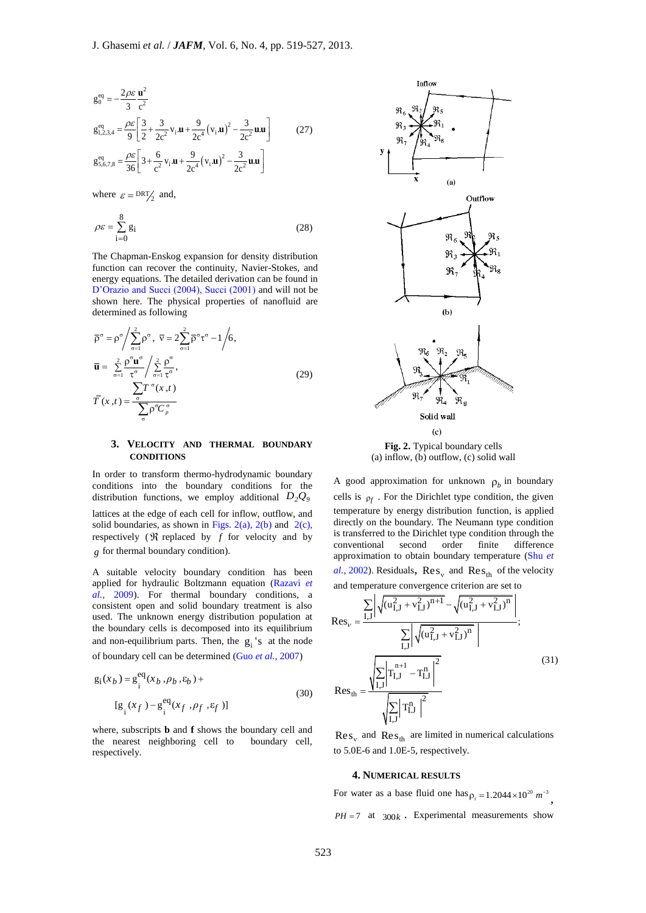$$
g_0^{eq} = -\frac{2\rho \varepsilon}{3} \frac{\mathbf{u}^2}{c^2}
$$
  
\n
$$
g_{1,2,3,4}^{eq} = \frac{\rho \varepsilon}{9} \left[ \frac{3}{2} + \frac{3}{2c^2} v_i \mathbf{u} + \frac{9}{2c^4} (v_i \mathbf{u})^2 - \frac{3}{2c^2} \mathbf{u} \mathbf{u} \right]
$$
 (27)  
\n
$$
g_{5,6,7,8}^{eq} = \frac{\rho \varepsilon}{36} \left[ 3 + \frac{6}{c^2} v_i \mathbf{u} + \frac{9}{2c^4} (v_i \mathbf{u})^2 - \frac{3}{2c^2} \mathbf{u} \mathbf{u} \right]
$$

where  $\varepsilon = \frac{DRT}{2}$  and,

$$
\rho \varepsilon = \sum_{i=0}^{8} g_i \tag{28}
$$

The Chapman-Enskog expansion for density distribution function can recover the continuity, Navier-Stokes, and energy equations. The detailed derivation can be found in D'Orazio and Succi (2004), Succi (2001) and will not be shown here. The physical properties of nanofluid are determined as following

$$
\overline{\rho}^{\sigma} = \rho^{\sigma} / \sum_{\sigma=1}^{2} \rho^{\sigma}, \ \overline{v} = 2 \sum_{\sigma=1}^{2} \overline{\rho}^{\sigma} \tau^{\sigma} - 1 / 6,
$$
\n
$$
\overline{\mathbf{u}} = \sum_{\sigma=1}^{2} \frac{\rho^{\sigma} \mathbf{u}^{\sigma}}{\tau^{\sigma}} / \sum_{\sigma=1}^{2} \frac{\rho^{\sigma}}{\tau^{\sigma}},
$$
\n
$$
\overline{T}(x, t) = \frac{\sum_{\sigma} \mathbf{f}^{\sigma}(x, t)}{\sum_{\sigma} \rho^{\sigma} C_{\rho}^{\sigma}}.
$$
\n(29)

## **3. VELOCITY AND THERMAL BOUNDARY CONDITIONS**

In order to transform thermo-hydrodynamic boundary conditions into the boundary conditions for the distribution functions, we employ additional  $D_2Q_9$ lattices at the edge of each cell for inflow, outflow, and solid boundaries, as shown in Figs. 2(a), 2(b) and 2(c), respectively ( $\Re$  replaced by  $f$  for velocity and by *g* for thermal boundary condition).

A suitable velocity boundary condition has been applied for hydraulic Boltzmann equation (Razavi *et al.,* 2009). For thermal boundary conditions, a consistent open and solid boundary treatment is also used. The unknown energy distribution population at the boundary cells is decomposed into its equilibrium and non-equilibrium parts. Then, the  $g_i$ 's at the node of boundary cell can be determined (Guo *et al.*, 2007)

$$
g_i(x_b) = g_i^{eq}(x_b, \rho_b, \varepsilon_b) +
$$
  
\n
$$
[g_i(x_f) - g_i^{eq}(x_f, \rho_f, \varepsilon_f)]
$$
\n(30)

where, subscripts **b** and **f** shows the boundary cell and the nearest neighboring cell to boundary cell, respectively.



(a) inflow, (b) outflow, (c) solid wall

A good approximation for unknown  $\rho_b$  in boundary cells is  $\rho_f$ . For the Dirichlet type condition, the given temperature by energy distribution function, is applied directly on the boundary. The Neumann type condition is transferred to the Dirichlet type condition through the conventional second order finite difference approximation to obtain boundary temperature (Shu *et*  al., 2002). Residuals,  $\text{Res}_{v}$  and  $\text{Res}_{\text{th}}$  of the velocity

and temperature convergence criterion are set to  
\n
$$
Res_{\nu} = \frac{\sum_{I,J} \left| \sqrt{(u_{I,J}^2 + v_{I,J}^2)^{n+1}} - \sqrt{(u_{I,J}^2 + v_{I,J}^2)^n} \right|}{\sum_{I,J} \left| \sqrt{(u_{I,J}^2 + v_{I,J}^2)^n} \right|};
$$
\n
$$
Res_{th} = \frac{\sqrt{\sum_{I,J} \left| T_{I,J}^{n+1} - T_{I,J}^n \right|^2}}{\sqrt{\sum_{I,J} \left| T_{I,J}^n \right|^2}}
$$
\n(31)

 $\text{Res}_{v}$  and  $\text{Res}_{th}$  are limited in numerical calculations to 5.0E-6 and 1.0E-5, respectively.

#### **4. NUMERICAL RESULTS**

For water as a base fluid one has  $\rho_i = 1.2044 \times 10^{20}$   $m^{-3}$ ,  $PH = 7$  at  $300k$ . Experimental measurements show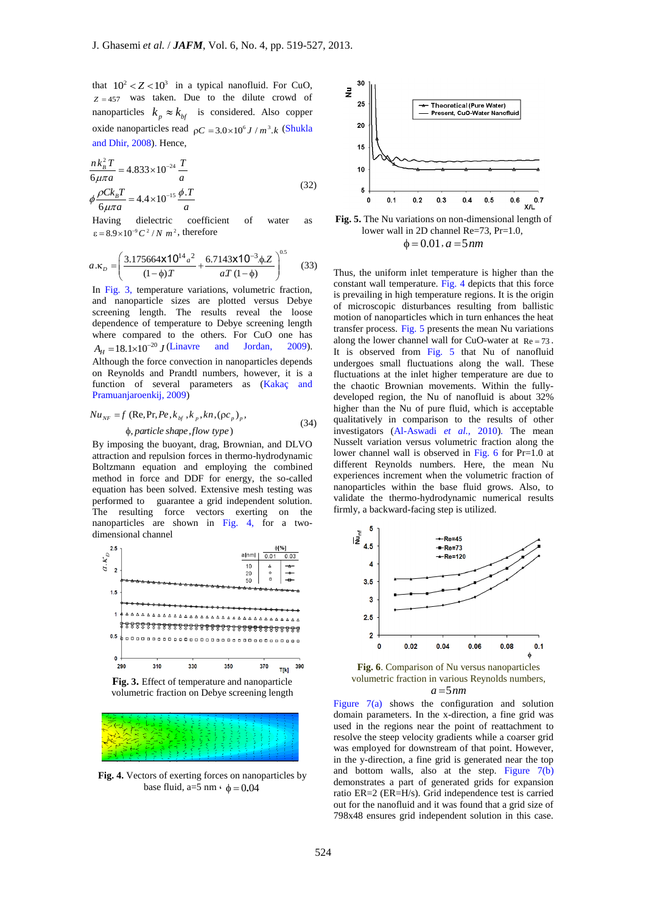that  $10^2 < Z < 10^3$  in a typical nanofluid. For CuO,  $Z = 457$  was taken. Due to the dilute crowd of nanoparticles  $k_p \approx k_{bf}$  is considered. Also copper oxide nanoparticles read  $pC = 3.0 \times 10^6 J / m^3.k$  (Shukla and Dhir, 2008). Hence,

$$
\frac{n k_B^2 T}{6\mu \pi a} = 4.833 \times 10^{-24} \frac{T}{a}
$$
  
\n
$$
\phi \frac{\rho C k_B T}{6\mu \pi a} = 4.4 \times 10^{-15} \frac{\phi \cdot T}{a}
$$
\n(32)

Having dielectric coefficient of water as  $\varepsilon = 8.9 \times 10^{-9} C^2 / N m^2$ , therefore

$$
a.\kappa_p = \left(\frac{3.175664 \times 10^{14} a^2}{(1-\phi)T} + \frac{6.7143 \times 10^{-3} \phi Z}{aT (1-\phi)}\right)^{0.5}
$$
(33)

In Fig. 3, temperature variations, volumetric fraction, and nanoparticle sizes are plotted versus Debye screening length. The results reveal the loose dependence of temperature to Debye screening length where compared to the others. For CuO one has  $A_H = 18.1 \times 10^{-20} J$  (Linavre and Jordan, 2009). Although the force convection in nanoparticles depends on Reynolds and Prandtl numbers, however, it is a function of several parameters as (Kakaç and Pramuanjaroenkij, 2009)

$$
Nu_{NF} = f \text{ (Re, Pr,} Pe, k_{bf}, k_p, kn, (pc_p)_p, \n\phi, particle shape, flow type)
$$
\n(34)

By imposing the buoyant, drag, Brownian, and DLVO attraction and repulsion forces in thermo-hydrodynamic Boltzmann equation and employing the combined method in force and DDF for energy, the so-called equation has been solved. Extensive mesh testing was performed to guarantee a grid independent solution. The resulting force vectors exerting on the nanoparticles are shown in Fig. 4, for a two-



volumetric fraction on Debye screening length



**Fig. 4.** Vectors of exerting forces on nanoparticles by base fluid,  $a=5$  nm  $\cdot$   $\phi = 0.04$ 





Thus, the uniform inlet temperature is higher than the constant wall temperature. Fig. 4 depicts that this force is prevailing in high temperature regions. It is the origin of microscopic disturbances resulting from ballistic motion of nanoparticles which in turn enhances the heat transfer process. Fig. 5 presents the mean Nu variations along the lower channel wall for CuO-water at  $Re = 73$ . It is observed from Fig. 5 that Nu of nanofluid undergoes small fluctuations along the wall. These fluctuations at the inlet higher temperature are due to the chaotic Brownian movements. Within the fullydeveloped region, the Nu of nanofluid is about 32% higher than the Nu of pure fluid, which is acceptable qualitatively in comparison to the results of other investigators (Al-Aswadi *et al.*, 2010). The mean Nusselt variation versus volumetric fraction along the lower channel wall is observed in Fig. 6 for Pr=1.0 at different Reynolds numbers. Here, the mean Nu experiences increment when the volumetric fraction of nanoparticles within the base fluid grows. Also, to validate the thermo-hydrodynamic numerical results firmly, a backward-facing step is utilized.



**Fig. 6**. Comparison of Nu versus nanoparticles volumetric fraction in various Reynolds numbers,  $a = 5$ *nm* 

Figure 7(a) shows the configuration and solution domain parameters. In the x-direction, a fine grid was used in the regions near the point of reattachment to resolve the steep velocity gradients while a coarser grid was employed for downstream of that point. However, in the y-direction, a fine grid is generated near the top and bottom walls, also at the step. Figure  $7(b)$ demonstrates a part of generated grids for expansion ratio ER=2 (ER=H/s). Grid independence test is carried out for the nanofluid and it was found that a grid size of 798x48 ensures grid independent solution in this case.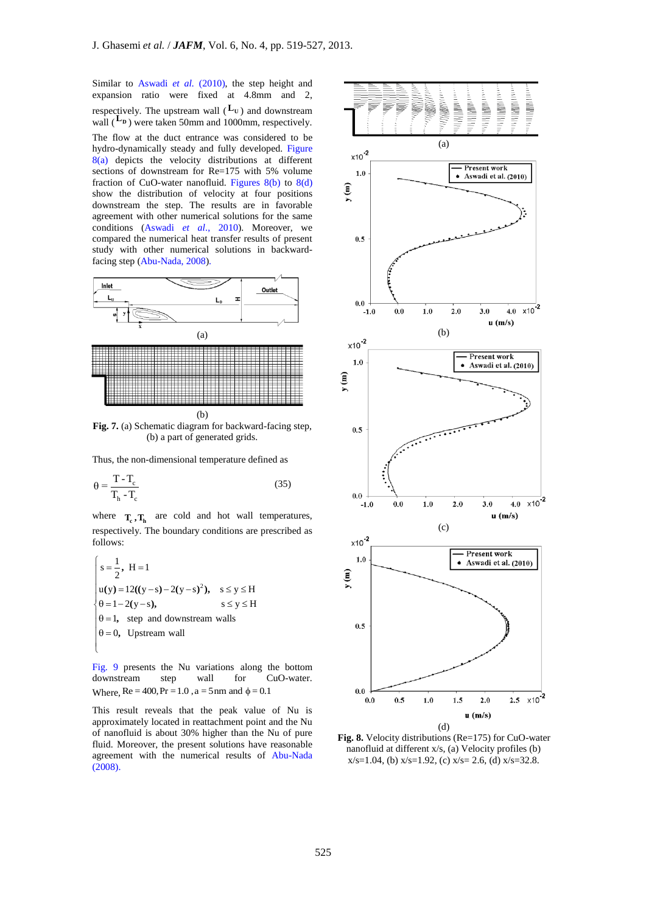Similar to Aswadi et al. (2010), the step height and expansion ratio were fixed at 4.8mm and 2, respectively. The upstream wall  $(L_{\text{U}})$  and downstream wall  $(L_p)$  were taken 50mm and 1000mm, respectively. The flow at the duct entrance was considered to be hydro-dynamically steady and fully developed. Figure 8(a) depicts the velocity distributions at different sections of downstream for Re=175 with 5% volume fraction of CuO-water nanofluid. Figures  $8(b)$  to  $8(d)$ show the distribution of velocity at four positions downstream the step. The results are in favorable agreement with other numerical solutions for the same conditions (Aswadi *et al*., 2010). Moreover, we compared the numerical heat transfer results of present study with other numerical solutions in backwardfacing step (Abu-Nada, 2008).



**Fig. 7.** (a) Schematic diagram for backward-facing step, (b) a part of generated grids.

Thus, the non-dimensional temperature defined as

$$
\theta = \frac{T - T_c}{T_h - T_c} \tag{35}
$$

where  $T_c$ ,  $T_h$  are cold and hot wall temperatures, respectively. The boundary conditions are prescribed as follows:

$$
\begin{cases}\ns = \frac{1}{2}, H = 1 \\
u(y) = 12((y-s) - 2(y-s)^2), s \le y \le H \\
\theta = 1 - 2(y-s), s \le y \le H \\
\theta = 1, \text{ step and downstream walls} \\
\theta = 0, Upstream wall\n\end{cases}
$$

Fig. 9 presents the Nu variations along the bottom downstream step wall for CuO-water. Where,  $Re = 400$ ,  $Pr = 1.0$ ,  $a = 5$  nm and  $\phi = 0.1$ 

This result reveals that the peak value of Nu is approximately located in reattachment point and the Nu of nanofluid is about 30% higher than the Nu of pure fluid. Moreover, the present solutions have reasonable agreement with the numerical results of Abu-Nada (2008).



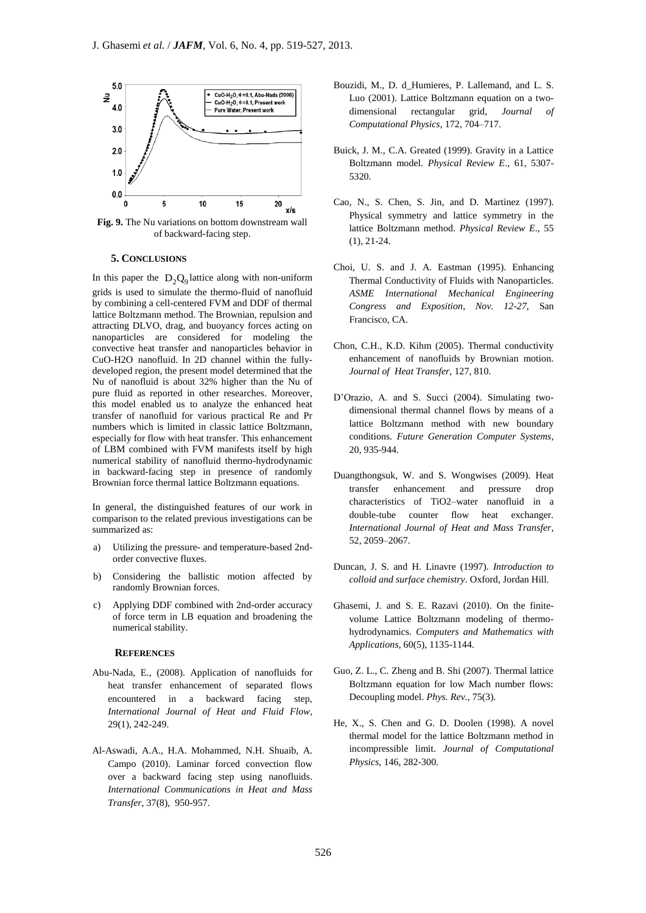

**Fig. 9.** The Nu variations on bottom downstream wall of backward-facing step.

#### **5. CONCLUSIONS**

In this paper the  $D_2Q_9$  lattice along with non-uniform grids is used to simulate the thermo-fluid of nanofluid by combining a cell-centered FVM and DDF of thermal lattice Boltzmann method. The Brownian, repulsion and attracting DLVO, drag, and buoyancy forces acting on nanoparticles are considered for modeling the convective heat transfer and nanoparticles behavior in CuO-H2O nanofluid. In 2D channel within the fullydeveloped region, the present model determined that the Nu of nanofluid is about 32% higher than the Nu of pure fluid as reported in other researches. Moreover, this model enabled us to analyze the enhanced heat transfer of nanofluid for various practical Re and Pr numbers which is limited in classic lattice Boltzmann, especially for flow with heat transfer. This enhancement of LBM combined with FVM manifests itself by high numerical stability of nanofluid thermo-hydrodynamic in backward-facing step in presence of randomly Brownian force thermal lattice Boltzmann equations.

In general, the distinguished features of our work in comparison to the related previous investigations can be summarized as:

- a) Utilizing the pressure- and temperature-based 2ndorder convective fluxes.
- b) Considering the ballistic motion affected by randomly Brownian forces.
- c) Applying DDF combined with 2nd-order accuracy of force term in LB equation and broadening the numerical stability.

#### **REFERENCES**

- Abu-Nada, E., (2008). Application of nanofluids for heat transfer enhancement of separated flows encountered in a backward facing step, *International Journal of Heat and Fluid Flow*, 29(1), 242-249.
- Al-Aswadi, A.A., H.A. Mohammed, N.H. Shuaib, A. Campo (2010). [Laminar forced convection flow](http://www.sciencedirect.com/science?_ob=GatewayURL&_method=citationSearch&_urlVersion=4&_origin=SDTOPTWOFIVE&_version=1&_piikey=S0735193310001302&md5=242ea60fb8f34ade0b3fdadef54b7e6b)  over [a backward facing step using nanofluids.](http://www.sciencedirect.com/science?_ob=GatewayURL&_method=citationSearch&_urlVersion=4&_origin=SDTOPTWOFIVE&_version=1&_piikey=S0735193310001302&md5=242ea60fb8f34ade0b3fdadef54b7e6b) *International Communications in Heat and Mass Transfer*, 37(8), 950-957.
- Bouzidi, M., D. d\_Humieres, P. Lallemand, and L. S. Luo (2001). Lattice Boltzmann equation on a twodimensional rectangular grid, *Journal of Computational Physics*, 172, 704–717.
- Buick, J. M., C.A. Greated (1999). Gravity in a Lattice Boltzmann model. *Physical Review E*., 61, 5307- 5320.
- Cao, N., S. Chen, S. Jin, and D. Martinez (1997). Physical symmetry and lattice symmetry in the lattice Boltzmann method. *Physical Review E*., 55 (1), 21-24.
- Choi, U. S. and J. A. Eastman (1995). Enhancing Thermal Conductivity of Fluids with Nanoparticles. *ASME International Mechanical Engineering Congress and Exposition, Nov. 12-27,* San Francisco, CA.
- Chon, C.H., K.D. Kihm (2005). Thermal conductivity enhancement of nanofluids by Brownian motion. *Journal of Heat Transfer,* 127, 810.
- D'Orazio, A. and S. Succi (2004). Simulating twodimensional thermal channel flows by means of a lattice Boltzmann method with new boundary conditions*. Future Generation Computer Systems,* 20, 935-944.
- Duangthongsuk, W. and S. Wongwises (2009). Heat transfer enhancement and pressure drop characteristics of TiO2–water nanofluid in a double-tube counter flow heat exchanger. *International Journal of Heat and Mass Transfer*, 52, 2059–2067.
- Duncan, J. S. and H. Linavre (1997). *Introduction to colloid and surface chemistry*. Oxford, Jordan Hill.
- Ghasemi, J. and S. E. Razavi (2010). On the finitevolume Lattice Boltzmann modeling of thermohydrodynamics. *Computers and Mathematics with Applications*, 60(5), 1135-1144.
- Guo, Z. L., C. Zheng and B. Shi (2007). Thermal lattice Boltzmann equation for low Mach number flows: Decoupling model. *Phys. Rev.,* 75(3).
- He, X., S. Chen and G. D. Doolen (1998). A novel thermal model for the lattice Boltzmann method in incompressible limit. *Journal of Computational Physics*, 146, 282-300.